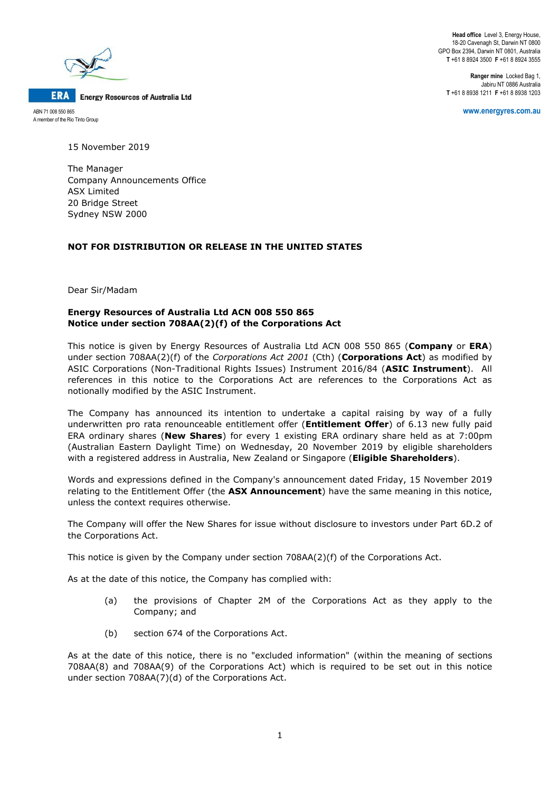

ABN 71 008 550 865 A member of the Rio Tinto Group

**ERA** 

**Head office** Level 3, Energy House, 18-20 Cavenagh St, Darwin NT 0800 GPO Box 2394, Darwin NT 0801, Australia **T** +61 8 8924 3500 **F** +61 8 8924 3555

**Ranger mine** Locked Bag 1, Jabiru NT 0886 Australia **T** +61 8 8938 1211 **F** +61 8 8938 1203

**www.energyres.com.au**

15 November 2019

The Manager Company Announcements Office ASX Limited 20 Bridge Street Sydney NSW 2000

## **NOT FOR DISTRIBUTION OR RELEASE IN THE UNITED STATES**

Dear Sir/Madam

# **Energy Resources of Australia Ltd ACN 008 550 865 Notice under section 708AA(2)(f) of the Corporations Act**

This notice is given by Energy Resources of Australia Ltd ACN 008 550 865 (**Company** or **ERA**) under section 708AA(2)(f) of the *Corporations Act 2001* (Cth) (**Corporations Act**) as modified by ASIC Corporations (Non-Traditional Rights Issues) Instrument 2016/84 (**ASIC Instrument**). All references in this notice to the Corporations Act are references to the Corporations Act as notionally modified by the ASIC Instrument.

The Company has announced its intention to undertake a capital raising by way of a fully underwritten pro rata renounceable entitlement offer (**Entitlement Offer**) of 6.13 new fully paid ERA ordinary shares (**New Shares**) for every 1 existing ERA ordinary share held as at 7:00pm (Australian Eastern Daylight Time) on Wednesday, 20 November 2019 by eligible shareholders with a registered address in Australia, New Zealand or Singapore (**Eligible Shareholders**).

Words and expressions defined in the Company's announcement dated Friday, 15 November 2019 relating to the Entitlement Offer (the **ASX Announcement**) have the same meaning in this notice, unless the context requires otherwise.

The Company will offer the New Shares for issue without disclosure to investors under Part 6D.2 of the Corporations Act.

This notice is given by the Company under section 708AA(2)(f) of the Corporations Act.

As at the date of this notice, the Company has complied with:

- (a) the provisions of Chapter 2M of the Corporations Act as they apply to the Company; and
- (b) section 674 of the Corporations Act.

As at the date of this notice, there is no "excluded information" (within the meaning of sections 708AA(8) and 708AA(9) of the Corporations Act) which is required to be set out in this notice under section 708AA(7)(d) of the Corporations Act.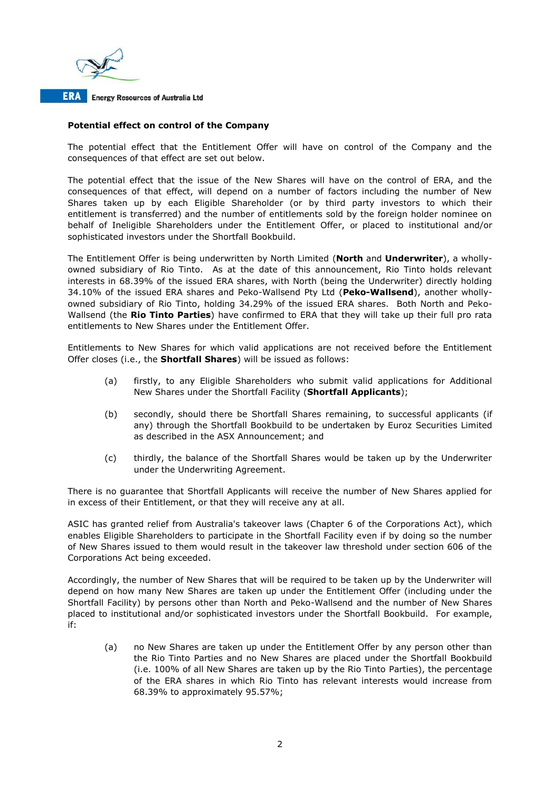

## **Potential effect on control of the Company**

The potential effect that the Entitlement Offer will have on control of the Company and the consequences of that effect are set out below.

The potential effect that the issue of the New Shares will have on the control of ERA, and the consequences of that effect, will depend on a number of factors including the number of New Shares taken up by each Eligible Shareholder (or by third party investors to which their entitlement is transferred) and the number of entitlements sold by the foreign holder nominee on behalf of Ineligible Shareholders under the Entitlement Offer, or placed to institutional and/or sophisticated investors under the Shortfall Bookbuild.

The Entitlement Offer is being underwritten by North Limited (**North** and **Underwriter**), a whollyowned subsidiary of Rio Tinto. As at the date of this announcement, Rio Tinto holds relevant interests in 68.39% of the issued ERA shares, with North (being the Underwriter) directly holding 34.10% of the issued ERA shares and Peko-Wallsend Pty Ltd (**Peko-Wallsend**), another whollyowned subsidiary of Rio Tinto, holding 34.29% of the issued ERA shares. Both North and Peko-Wallsend (the **Rio Tinto Parties**) have confirmed to ERA that they will take up their full pro rata entitlements to New Shares under the Entitlement Offer.

Entitlements to New Shares for which valid applications are not received before the Entitlement Offer closes (i.e., the **Shortfall Shares**) will be issued as follows:

- (a) firstly, to any Eligible Shareholders who submit valid applications for Additional New Shares under the Shortfall Facility (**Shortfall Applicants**);
- (b) secondly, should there be Shortfall Shares remaining, to successful applicants (if any) through the Shortfall Bookbuild to be undertaken by Euroz Securities Limited as described in the ASX Announcement; and
- (c) thirdly, the balance of the Shortfall Shares would be taken up by the Underwriter under the Underwriting Agreement.

There is no guarantee that Shortfall Applicants will receive the number of New Shares applied for in excess of their Entitlement, or that they will receive any at all.

ASIC has granted relief from Australia's takeover laws (Chapter 6 of the Corporations Act), which enables Eligible Shareholders to participate in the Shortfall Facility even if by doing so the number of New Shares issued to them would result in the takeover law threshold under section 606 of the Corporations Act being exceeded.

Accordingly, the number of New Shares that will be required to be taken up by the Underwriter will depend on how many New Shares are taken up under the Entitlement Offer (including under the Shortfall Facility) by persons other than North and Peko-Wallsend and the number of New Shares placed to institutional and/or sophisticated investors under the Shortfall Bookbuild. For example, if:

(a) no New Shares are taken up under the Entitlement Offer by any person other than the Rio Tinto Parties and no New Shares are placed under the Shortfall Bookbuild (i.e. 100% of all New Shares are taken up by the Rio Tinto Parties), the percentage of the ERA shares in which Rio Tinto has relevant interests would increase from 68.39% to approximately 95.57%;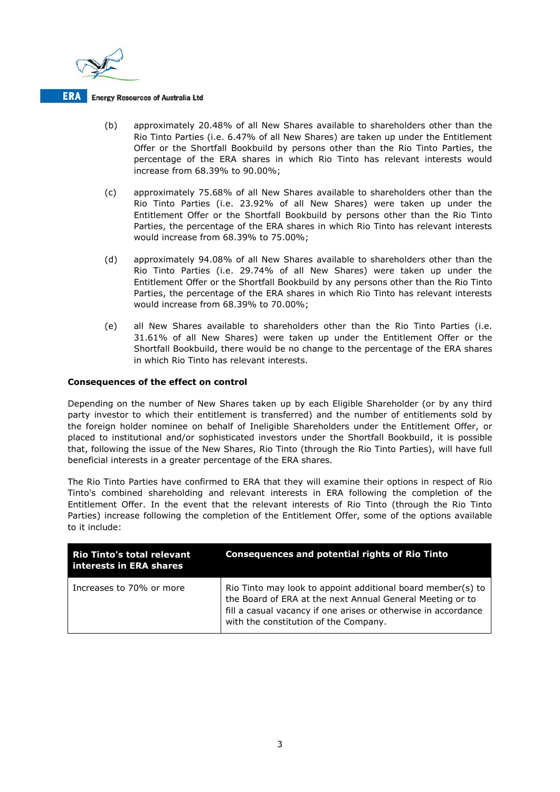

- (b) approximately 20.48% of all New Shares available to shareholders other than the Rio Tinto Parties (i.e. 6.47% of all New Shares) are taken up under the Entitlement Offer or the Shortfall Bookbuild by persons other than the Rio Tinto Parties, the percentage of the ERA shares in which Rio Tinto has relevant interests would increase from 68.39% to 90.00%;
- (c) approximately 75.68% of all New Shares available to shareholders other than the Rio Tinto Parties (i.e. 23.92% of all New Shares) were taken up under the Entitlement Offer or the Shortfall Bookbuild by persons other than the Rio Tinto Parties, the percentage of the ERA shares in which Rio Tinto has relevant interests would increase from 68.39% to 75.00%;
- (d) approximately 94.08% of all New Shares available to shareholders other than the Rio Tinto Parties (i.e. 29.74% of all New Shares) were taken up under the Entitlement Offer or the Shortfall Bookbuild by any persons other than the Rio Tinto Parties, the percentage of the ERA shares in which Rio Tinto has relevant interests would increase from 68.39% to 70.00%;
- (e) all New Shares available to shareholders other than the Rio Tinto Parties (i.e. 31.61% of all New Shares) were taken up under the Entitlement Offer or the Shortfall Bookbuild, there would be no change to the percentage of the ERA shares in which Rio Tinto has relevant interests.

## **Consequences of the effect on control**

Depending on the number of New Shares taken up by each Eligible Shareholder (or by any third party investor to which their entitlement is transferred) and the number of entitlements sold by the foreign holder nominee on behalf of Ineligible Shareholders under the Entitlement Offer, or placed to institutional and/or sophisticated investors under the Shortfall Bookbuild, it is possible that, following the issue of the New Shares, Rio Tinto (through the Rio Tinto Parties), will have full beneficial interests in a greater percentage of the ERA shares.

The Rio Tinto Parties have confirmed to ERA that they will examine their options in respect of Rio Tinto's combined shareholding and relevant interests in ERA following the completion of the Entitlement Offer. In the event that the relevant interests of Rio Tinto (through the Rio Tinto Parties) increase following the completion of the Entitlement Offer, some of the options available to it include:

| <b>Rio Tinto's total relevant</b><br>interests in ERA shares | <b>Consequences and potential rights of Rio Tinto</b>                                                                                                                                                                               |
|--------------------------------------------------------------|-------------------------------------------------------------------------------------------------------------------------------------------------------------------------------------------------------------------------------------|
| Increases to 70% or more                                     | Rio Tinto may look to appoint additional board member(s) to<br>the Board of ERA at the next Annual General Meeting or to<br>fill a casual vacancy if one arises or otherwise in accordance<br>with the constitution of the Company. |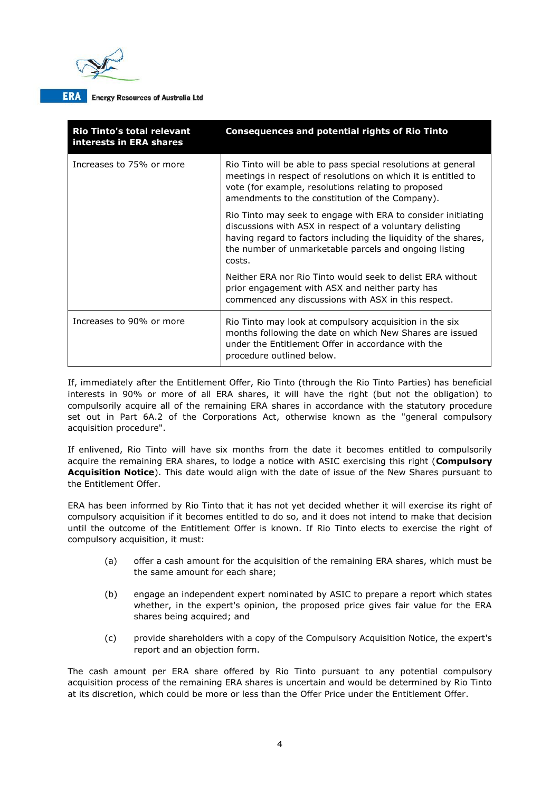

| <b>Rio Tinto's total relevant</b><br>interests in ERA shares | <b>Consequences and potential rights of Rio Tinto</b>                                                                                                                                                                                                           |
|--------------------------------------------------------------|-----------------------------------------------------------------------------------------------------------------------------------------------------------------------------------------------------------------------------------------------------------------|
| Increases to 75% or more                                     | Rio Tinto will be able to pass special resolutions at general<br>meetings in respect of resolutions on which it is entitled to<br>vote (for example, resolutions relating to proposed<br>amendments to the constitution of the Company).                        |
|                                                              | Rio Tinto may seek to engage with ERA to consider initiating<br>discussions with ASX in respect of a voluntary delisting<br>having regard to factors including the liquidity of the shares,<br>the number of unmarketable parcels and ongoing listing<br>costs. |
|                                                              | Neither ERA nor Rio Tinto would seek to delist ERA without<br>prior engagement with ASX and neither party has<br>commenced any discussions with ASX in this respect.                                                                                            |
| Increases to 90% or more                                     | Rio Tinto may look at compulsory acquisition in the six<br>months following the date on which New Shares are issued<br>under the Entitlement Offer in accordance with the<br>procedure outlined below.                                                          |

If, immediately after the Entitlement Offer, Rio Tinto (through the Rio Tinto Parties) has beneficial interests in 90% or more of all ERA shares, it will have the right (but not the obligation) to compulsorily acquire all of the remaining ERA shares in accordance with the statutory procedure set out in Part 6A.2 of the Corporations Act, otherwise known as the "general compulsory acquisition procedure".

If enlivened, Rio Tinto will have six months from the date it becomes entitled to compulsorily acquire the remaining ERA shares, to lodge a notice with ASIC exercising this right (**Compulsory Acquisition Notice**). This date would align with the date of issue of the New Shares pursuant to the Entitlement Offer.

ERA has been informed by Rio Tinto that it has not yet decided whether it will exercise its right of compulsory acquisition if it becomes entitled to do so, and it does not intend to make that decision until the outcome of the Entitlement Offer is known. If Rio Tinto elects to exercise the right of compulsory acquisition, it must:

- (a) offer a cash amount for the acquisition of the remaining ERA shares, which must be the same amount for each share;
- (b) engage an independent expert nominated by ASIC to prepare a report which states whether, in the expert's opinion, the proposed price gives fair value for the ERA shares being acquired; and
- (c) provide shareholders with a copy of the Compulsory Acquisition Notice, the expert's report and an objection form.

The cash amount per ERA share offered by Rio Tinto pursuant to any potential compulsory acquisition process of the remaining ERA shares is uncertain and would be determined by Rio Tinto at its discretion, which could be more or less than the Offer Price under the Entitlement Offer.